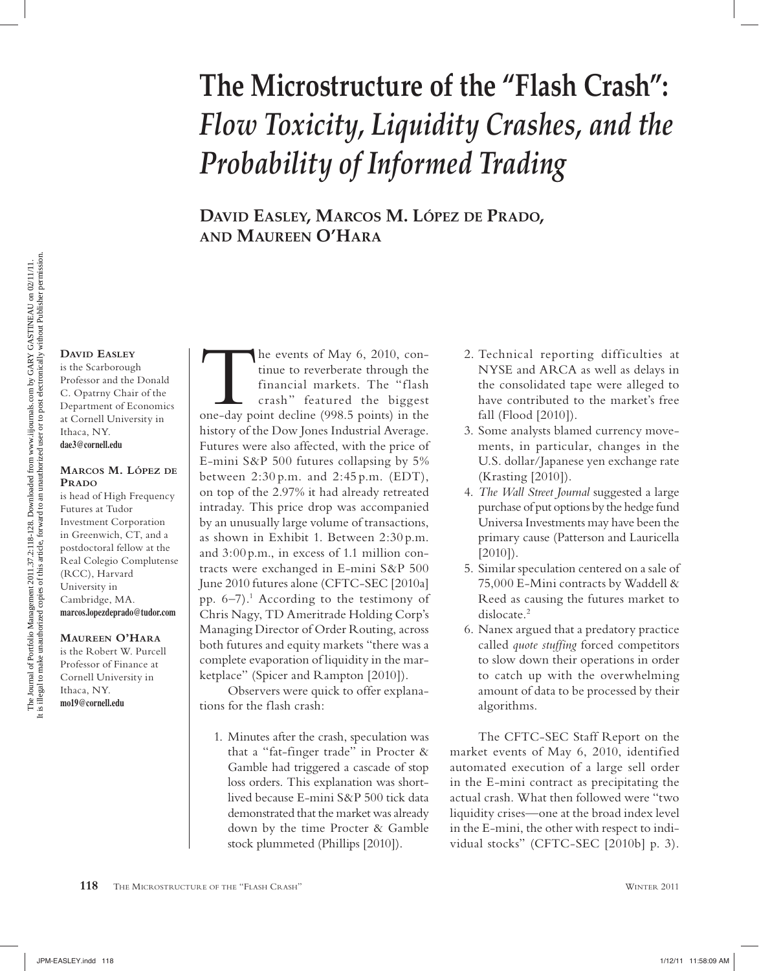# **The Microstructure of the "Flash Crash":**  *Flow Toxicity, Liquidity Crashes, and the Probability of Informed Trading*

**DAVID EASLEY, MARCOS M. LÓPEZ DE PRADO, AND MAUREEN O'HARA**

#### **DAVID EASLEY**

is the Scarborough Professor and the Donald C. Opatrny Chair of the Department of Economics at Cornell University in Ithaca, NY. **dae3@cornell.edu**

#### **MARCOS M. LÓPEZ DE PRADO**

is head of High Frequency Futures at Tudor Investment Corporation in Greenwich, CT, and a postdoctoral fellow at the Real Colegio Complutense (RCC), Harvard University in Cambridge, MA. **marcos.lopezdeprado@tudor.com**

#### **MAUREEN O'HARA**

is the Robert W. Purcell Professor of Finance at Cornell University in Ithaca, NY. **mo19@cornell.edu**

The events of May 6, 2010, con-<br>tinue to reverberate through the<br>financial markets. The "flash<br>crash" featured the biggest<br>one-day point decline (998.5 points) in the tinue to reverberate through the financial markets. The "flash crash" featured the biggest history of the Dow Jones Industrial Average. Futures were also affected, with the price of E-mini S&P 500 futures collapsing by 5% between 2:30 p.m. and 2:45 p.m. (EDT), on top of the 2.97% it had already retreated intraday. This price drop was accompanied by an unusually large volume of transactions, as shown in Exhibit 1. Between 2:30 p.m. and 3:00 p.m., in excess of 1.1 million contracts were exchanged in E-mini S&P 500 June 2010 futures alone (CFTC-SEC [2010a] pp. 6–7).1 According to the testimony of Chris Nagy, TD Ameritrade Holding Corp's Managing Director of Order Routing, across both futures and equity markets "there was a complete evaporation of liquidity in the marketplace" (Spicer and Rampton [2010]).

Observers were quick to offer explanations for the flash crash:

1. Minutes after the crash, speculation was that a "fat-finger trade" in Procter & Gamble had triggered a cascade of stop loss orders. This explanation was shortlived because E-mini S&P 500 tick data demonstrated that the market was already down by the time Procter & Gamble stock plummeted (Phillips [2010]).

- 2. Technical reporting difficulties at NYSE and ARCA as well as delays in the consolidated tape were alleged to have contributed to the market's free fall (Flood [2010]).
- 3. Some analysts blamed currency movements, in particular, changes in the U.S. dollar/Japanese yen exchange rate (Krasting [2010]).
- 4. *The Wall Street Journal* suggested a large purchase of put options by the hedge fund Universa Investments may have been the primary cause (Patterson and Lauricella  $[2010]$ ).
- 5. Similar speculation centered on a sale of 75,000 E-Mini contracts by Waddell & Reed as causing the futures market to dislocate.<sup>2</sup>
- 6. Nanex argued that a predatory practice called *quote stuffing* forced competitors to slow down their operations in order to catch up with the overwhelming amount of data to be processed by their algorithms.

The CFTC-SEC Staff Report on the market events of May 6, 2010, identified automated execution of a large sell order in the E-mini contract as precipitating the actual crash. What then followed were "two liquidity crises—one at the broad index level in the E-mini, the other with respect to individual stocks" (CFTC-SEC [2010b] p. 3).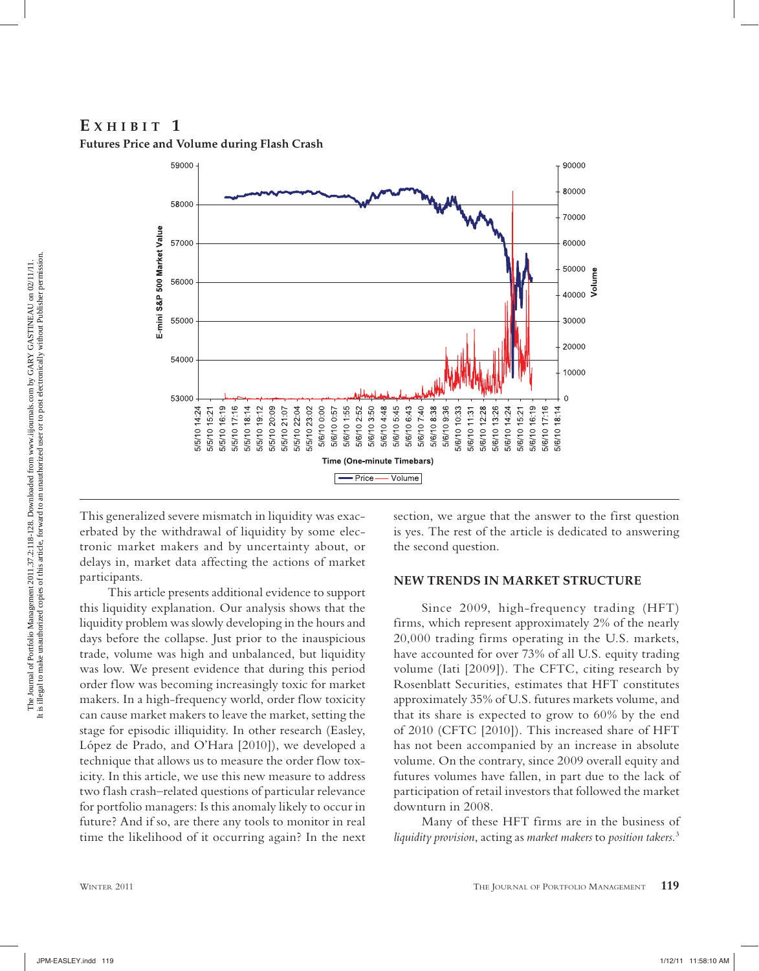## **E XHIBIT 1 Futures Price and Volume during Flash Crash**



This generalized severe mismatch in liquidity was exacerbated by the withdrawal of liquidity by some electronic market makers and by uncertainty about, or delays in, market data affecting the actions of market participants.

This article presents additional evidence to support this liquidity explanation. Our analysis shows that the liquidity problem was slowly developing in the hours and days before the collapse. Just prior to the inauspicious trade, volume was high and unbalanced, but liquidity was low. We present evidence that during this period order flow was becoming increasingly toxic for market makers. In a high-frequency world, order flow toxicity can cause market makers to leave the market, setting the stage for episodic illiquidity. In other research (Easley, López de Prado, and O'Hara [2010]), we developed a technique that allows us to measure the order flow toxicity. In this article, we use this new measure to address two flash crash–related questions of particular relevance for portfolio managers: Is this anomaly likely to occur in future? And if so, are there any tools to monitor in real time the likelihood of it occurring again? In the next section, we argue that the answer to the first question is yes. The rest of the article is dedicated to answering the second question.

#### **NEW TRENDS IN MARKET STRUCTURE**

Since 2009, high-frequency trading (HFT) firms, which represent approximately 2% of the nearly 20,000 trading firms operating in the U.S. markets, have accounted for over 73% of all U.S. equity trading volume (Iati [2009]). The CFTC, citing research by Rosenblatt Securities, estimates that HFT constitutes approximately 35% of U.S. futures markets volume, and that its share is expected to grow to 60% by the end of 2010 (CFTC [2010]). This increased share of HFT has not been accompanied by an increase in absolute volume. On the contrary, since 2009 overall equity and futures volumes have fallen, in part due to the lack of participation of retail investors that followed the market downturn in 2008.

Many of these HFT firms are in the business of *liquidity provision*, acting as *market makers* to *position takers*. 3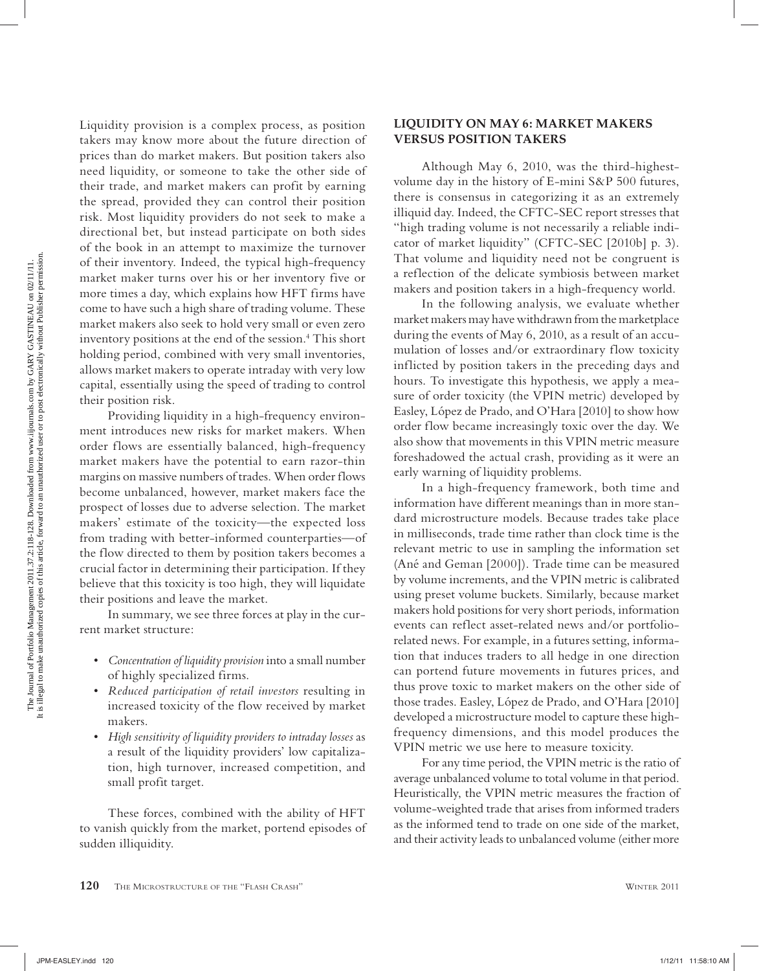Liquidity provision is a complex process, as position takers may know more about the future direction of prices than do market makers. But position takers also need liquidity, or someone to take the other side of their trade, and market makers can profit by earning the spread, provided they can control their position risk. Most liquidity providers do not seek to make a directional bet, but instead participate on both sides of the book in an attempt to maximize the turnover of their inventory. Indeed, the typical high-frequency market maker turns over his or her inventory five or more times a day, which explains how HFT firms have come to have such a high share of trading volume. These market makers also seek to hold very small or even zero inventory positions at the end of the session.4 This short holding period, combined with very small inventories, allows market makers to operate intraday with very low capital, essentially using the speed of trading to control their position risk.

Providing liquidity in a high-frequency environment introduces new risks for market makers. When order flows are essentially balanced, high-frequency market makers have the potential to earn razor-thin margins on massive numbers of trades. When order flows become unbalanced, however, market makers face the prospect of losses due to adverse selection. The market makers' estimate of the toxicity—the expected loss from trading with better-informed counterparties—of the flow directed to them by position takers becomes a crucial factor in determining their participation. If they believe that this toxicity is too high, they will liquidate their positions and leave the market.

In summary, we see three forces at play in the current market structure:

- *Concentration of liquidity provision* into a small number of highly specialized firms.
- *Reduced participation of retail investors* resulting in increased toxicity of the flow received by market makers.
- *High sensitivity of liquidity providers to intraday losses* as a result of the liquidity providers' low capitalization, high turnover, increased competition, and small profit target.

These forces, combined with the ability of HFT to vanish quickly from the market, portend episodes of sudden illiquidity.

#### **LIQUIDITY ON MAY 6: MARKET MAKERS VERSUS POSITION TAKERS**

Although May 6, 2010, was the third-highestvolume day in the history of E-mini S&P 500 futures, there is consensus in categorizing it as an extremely illiquid day. Indeed, the CFTC-SEC report stresses that "high trading volume is not necessarily a reliable indicator of market liquidity" (CFTC-SEC [2010b] p. 3). That volume and liquidity need not be congruent is a reflection of the delicate symbiosis between market makers and position takers in a high-frequency world.

In the following analysis, we evaluate whether market makers may have withdrawn from the marketplace during the events of May 6, 2010, as a result of an accumulation of losses and/or extraordinary flow toxicity inflicted by position takers in the preceding days and hours. To investigate this hypothesis, we apply a measure of order toxicity (the VPIN metric) developed by Easley, López de Prado, and O'Hara [2010] to show how order flow became increasingly toxic over the day. We also show that movements in this VPIN metric measure foreshadowed the actual crash, providing as it were an early warning of liquidity problems.

In a high-frequency framework, both time and information have different meanings than in more standard microstructure models. Because trades take place in milliseconds, trade time rather than clock time is the relevant metric to use in sampling the information set (Ané and Geman [2000]). Trade time can be measured by volume increments, and the VPIN metric is calibrated using preset volume buckets. Similarly, because market makers hold positions for very short periods, information events can reflect asset-related news and/or portfoliorelated news. For example, in a futures setting, information that induces traders to all hedge in one direction can portend future movements in futures prices, and thus prove toxic to market makers on the other side of those trades. Easley, López de Prado, and O'Hara [2010] developed a microstructure model to capture these highfrequency dimensions, and this model produces the VPIN metric we use here to measure toxicity.

For any time period, the VPIN metric is the ratio of average unbalanced volume to total volume in that period. Heuristically, the VPIN metric measures the fraction of volume-weighted trade that arises from informed traders as the informed tend to trade on one side of the market, and their activity leads to unbalanced volume (either more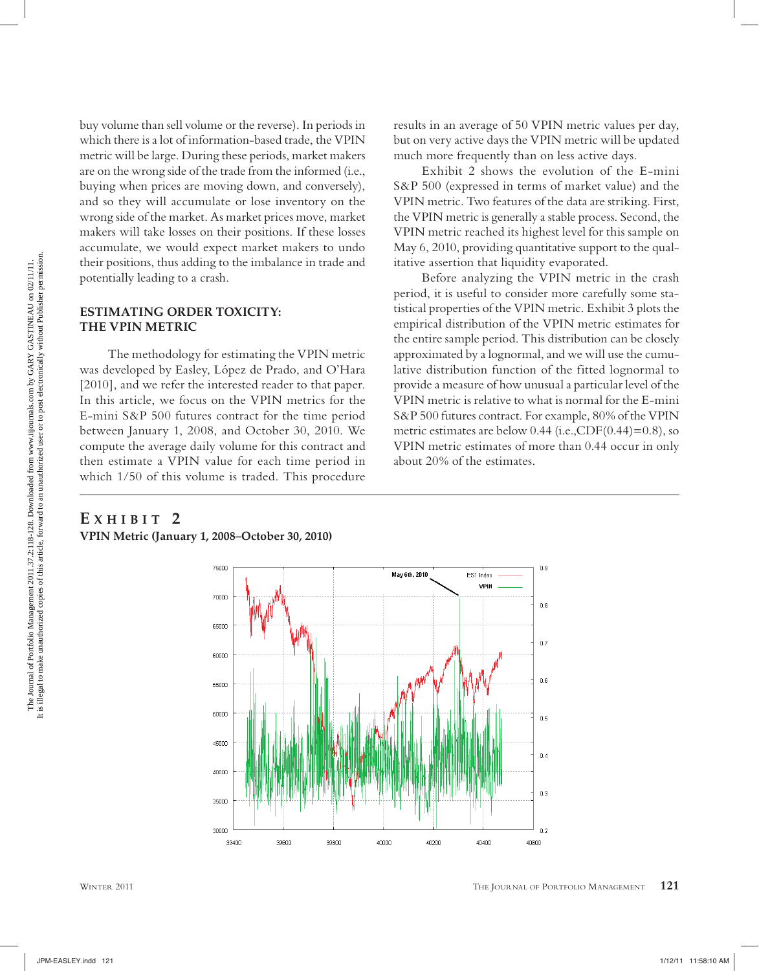buy volume than sell volume or the reverse). In periods in which there is a lot of information-based trade, the VPIN metric will be large. During these periods, market makers are on the wrong side of the trade from the informed (i.e., buying when prices are moving down, and conversely), and so they will accumulate or lose inventory on the wrong side of the market. As market prices move, market makers will take losses on their positions. If these losses accumulate, we would expect market makers to undo their positions, thus adding to the imbalance in trade and potentially leading to a crash.

#### **ESTIMATING ORDER TOXICITY: THE VPIN METRIC**

The methodology for estimating the VPIN metric was developed by Easley, López de Prado, and O'Hara [2010], and we refer the interested reader to that paper. In this article, we focus on the VPIN metrics for the E-mini S&P 500 futures contract for the time period between January 1, 2008, and October 30, 2010. We compute the average daily volume for this contract and then estimate a VPIN value for each time period in which 1/50 of this volume is traded. This procedure results in an average of 50 VPIN metric values per day, but on very active days the VPIN metric will be updated much more frequently than on less active days.

Exhibit 2 shows the evolution of the E-mini S&P 500 (expressed in terms of market value) and the VPIN metric. Two features of the data are striking. First, the VPIN metric is generally a stable process. Second, the VPIN metric reached its highest level for this sample on May 6, 2010, providing quantitative support to the qualitative assertion that liquidity evaporated.

Before analyzing the VPIN metric in the crash period, it is useful to consider more carefully some statistical properties of the VPIN metric. Exhibit 3 plots the empirical distribution of the VPIN metric estimates for the entire sample period. This distribution can be closely approximated by a lognormal, and we will use the cumulative distribution function of the fitted lognormal to provide a measure of how unusual a particular level of the VPIN metric is relative to what is normal for the E-mini S&P 500 futures contract. For example, 80% of the VPIN metric estimates are below  $0.44$  (i.e.,CDF $(0.44)=0.8$ ), so VPIN metric estimates of more than 0.44 occur in only about 20% of the estimates.

# **E XHIBIT 2**

**VPIN Metric (January 1, 2008–October 30, 2010)**

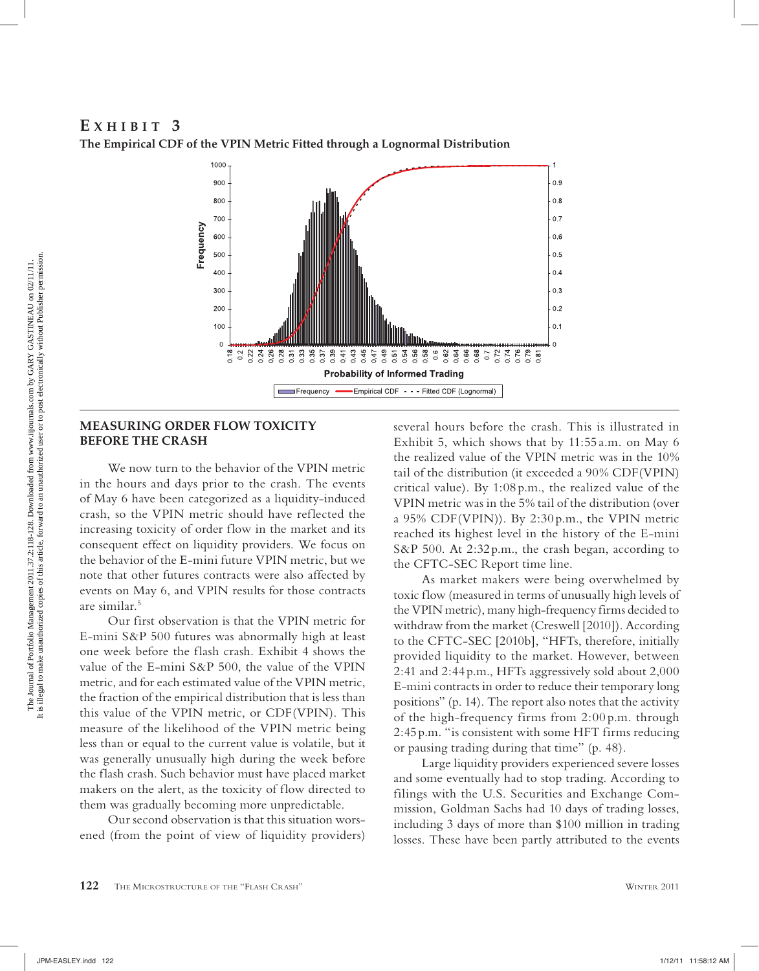#### **E XHIBIT 3 The Empirical CDF of the VPIN Metric Fitted through a Lognormal Distribution**



#### **MEASURING ORDER FLOW TOXICITY BEFORE THE CRASH**

We now turn to the behavior of the VPIN metric in the hours and days prior to the crash. The events of May 6 have been categorized as a liquidity-induced crash, so the VPIN metric should have reflected the increasing toxicity of order flow in the market and its consequent effect on liquidity providers. We focus on the behavior of the E-mini future VPIN metric, but we note that other futures contracts were also affected by events on May 6, and VPIN results for those contracts are similar.5

Our first observation is that the VPIN metric for E-mini S&P 500 futures was abnormally high at least one week before the flash crash. Exhibit 4 shows the value of the E-mini S&P 500, the value of the VPIN metric, and for each estimated value of the VPIN metric, the fraction of the empirical distribution that is less than this value of the VPIN metric, or CDF(VPIN). This measure of the likelihood of the VPIN metric being less than or equal to the current value is volatile, but it was generally unusually high during the week before the flash crash. Such behavior must have placed market makers on the alert, as the toxicity of flow directed to them was gradually becoming more unpredictable.

Our second observation is that this situation worsened (from the point of view of liquidity providers) several hours before the crash. This is illustrated in Exhibit 5, which shows that by 11:55 a.m. on May 6 the realized value of the VPIN metric was in the 10% tail of the distribution (it exceeded a 90% CDF(VPIN) critical value). By 1:08 p.m., the realized value of the VPIN metric was in the 5% tail of the distribution (over a 95% CDF(VPIN)). By 2:30 p.m., the VPIN metric reached its highest level in the history of the E-mini S&P 500. At 2:32 p.m., the crash began, according to the CFTC-SEC Report time line.

As market makers were being overwhelmed by toxic flow (measured in terms of unusually high levels of the VPIN metric), many high-frequency firms decided to withdraw from the market (Creswell [2010]). According to the CFTC-SEC [2010b], "HFTs, therefore, initially provided liquidity to the market. However, between 2:41 and 2:44 p.m., HFTs aggressively sold about 2,000 E-mini contracts in order to reduce their temporary long positions" (p. 14). The report also notes that the activity of the high-frequency firms from 2:00 p.m. through 2:45 p.m. "is consistent with some HFT firms reducing or pausing trading during that time" (p. 48).

Large liquidity providers experienced severe losses and some eventually had to stop trading. According to filings with the U.S. Securities and Exchange Commission, Goldman Sachs had 10 days of trading losses, including 3 days of more than \$100 million in trading losses. These have been partly attributed to the events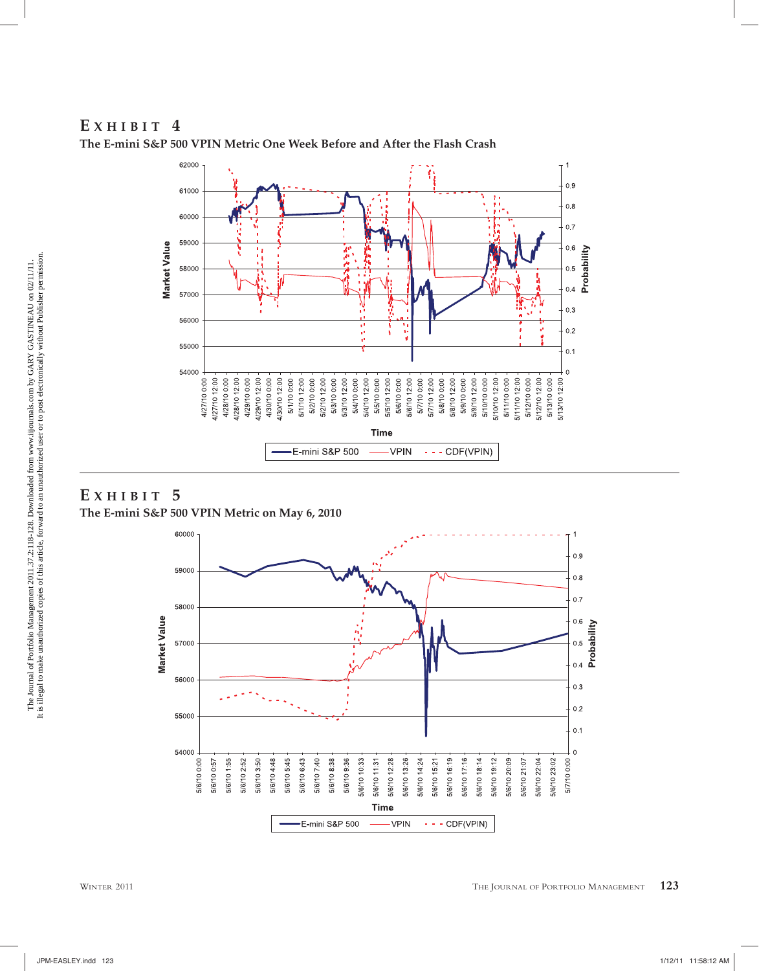# **E XHIBIT 4**



**The E-mini S&P 500 VPIN Metric One Week Before and After the Flash Crash**

# **E XHIBIT 5 The E-mini S&P 500 VPIN Metric on May 6, 2010**

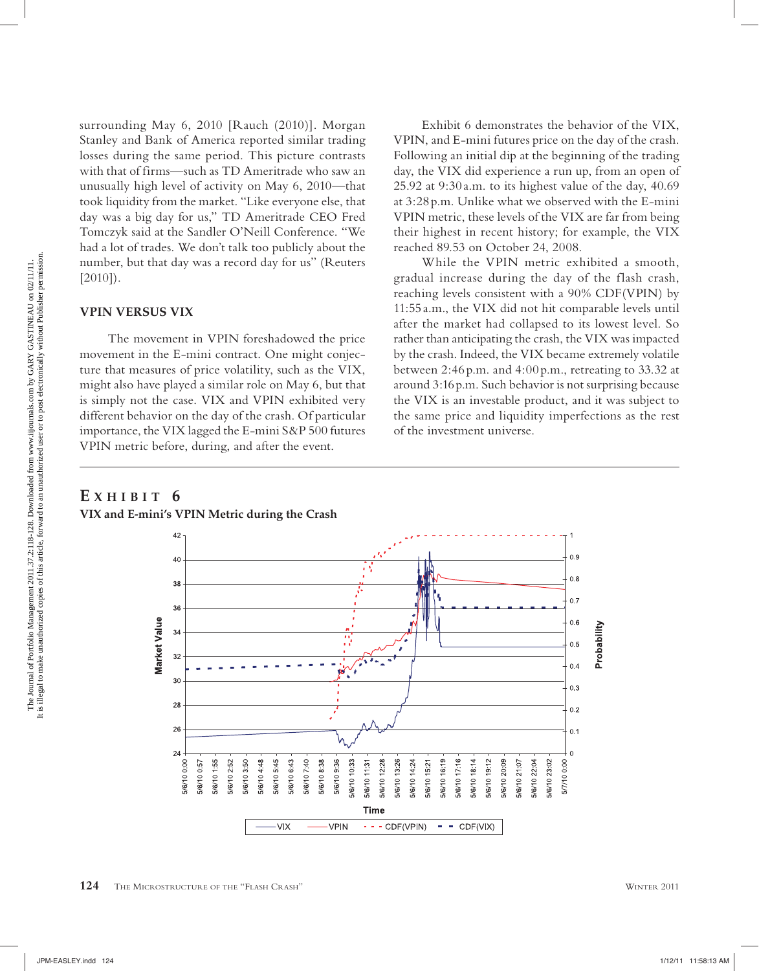surrounding May 6, 2010 [Rauch (2010)]. Morgan Stanley and Bank of America reported similar trading losses during the same period. This picture contrasts with that of firms—such as TD Ameritrade who saw an unusually high level of activity on May 6, 2010—that took liquidity from the market. "Like everyone else, that day was a big day for us," TD Ameritrade CEO Fred Tomczyk said at the Sandler O'Neill Conference. "We had a lot of trades. We don't talk too publicly about the number, but that day was a record day for us" (Reuters [2010]).

#### **VPIN VERSUS VIX**

The movement in VPIN foreshadowed the price movement in the E-mini contract. One might conjecture that measures of price volatility, such as the VIX, might also have played a similar role on May 6, but that is simply not the case. VIX and VPIN exhibited very different behavior on the day of the crash. Of particular importance, the VIX lagged the E-mini S&P 500 futures VPIN metric before, during, and after the event.

Exhibit 6 demonstrates the behavior of the VIX, VPIN, and E-mini futures price on the day of the crash. Following an initial dip at the beginning of the trading day, the VIX did experience a run up, from an open of 25.92 at 9:30 a.m. to its highest value of the day, 40.69 at 3:28 p.m. Unlike what we observed with the E-mini VPIN metric, these levels of the VIX are far from being their highest in recent history; for example, the VIX reached 89.53 on October 24, 2008.

While the VPIN metric exhibited a smooth, gradual increase during the day of the flash crash, reaching levels consistent with a 90% CDF(VPIN) by 11:55 a.m., the VIX did not hit comparable levels until after the market had collapsed to its lowest level. So rather than anticipating the crash, the VIX was impacted by the crash. Indeed, the VIX became extremely volatile between 2:46 p.m. and 4:00 p.m., retreating to 33.32 at around 3:16 p.m. Such behavior is not surprising because the VIX is an investable product, and it was subject to the same price and liquidity imperfections as the rest of the investment universe.

#### **E XHIBIT 6 VIX and E-mini's VPIN Metric during the Crash**

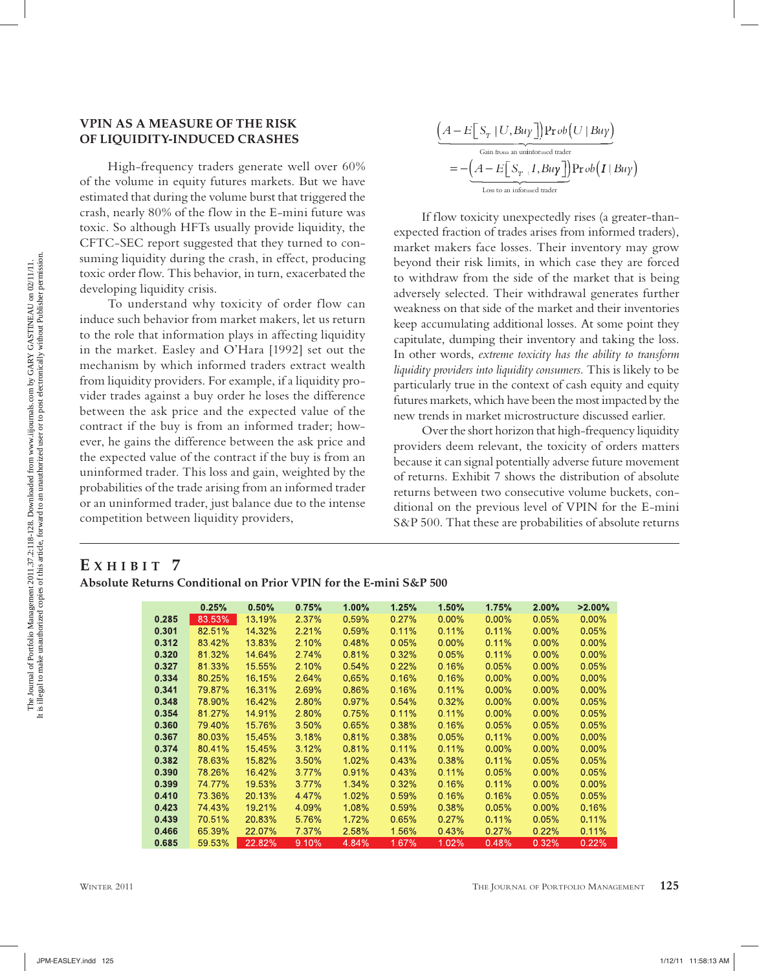# The Journal of Portfolio Management 2011.37.2:118-128. Downloaded from www.iijournals.com by GARY GASTINEAU on 02/11/11.<br>It is illegal to make unauthorized copies of this article, forward to an unauthorized user or to post It is illegal to make unauthorized copies of this article, forward to an unauthorized user or to post electronically without Publisher permission.The Journal of Portfolio Management 2011.37.2:118-128. Downloaded from www.iijournals.com by GARY GASTINEAU on 02/11/11.

#### **VPIN AS A MEASURE OF THE RISK OF LIQUIDITY-INDUCED CRASHES**

High-frequency traders generate well over 60% of the volume in equity futures markets. But we have estimated that during the volume burst that triggered the crash, nearly 80% of the flow in the E-mini future was toxic. So although HFTs usually provide liquidity, the CFTC-SEC report suggested that they turned to consuming liquidity during the crash, in effect, producing toxic order flow. This behavior, in turn, exacerbated the developing liquidity crisis.

To understand why toxicity of order flow can induce such behavior from market makers, let us return to the role that information plays in affecting liquidity in the market. Easley and O'Hara [1992] set out the mechanism by which informed traders extract wealth from liquidity providers. For example, if a liquidity provider trades against a buy order he loses the difference between the ask price and the expected value of the contract if the buy is from an informed trader; however, he gains the difference between the ask price and the expected value of the contract if the buy is from an uninformed trader. This loss and gain, weighted by the probabilities of the trade arising from an informed trader or an uninformed trader, just balance due to the intense competition between liquidity providers,

$$
\underbrace{\left(A - E\Big[S_T | U, Buy\Big]\right) \Pr ob\left(U | Buy\right)}_{\text{Gain from an uniformed trader}} = -\underbrace{\left(A - E\Big[S_T | I, Buy\Big]\right)}_{\text{Loss to an informed trader}} \Pr ob\left(I | Buy\right)
$$

If flow toxicity unexpectedly rises (a greater-thanexpected fraction of trades arises from informed traders), market makers face losses. Their inventory may grow beyond their risk limits, in which case they are forced to withdraw from the side of the market that is being adversely selected. Their withdrawal generates further weakness on that side of the market and their inventories keep accumulating additional losses. At some point they capitulate, dumping their inventory and taking the loss. In other words, *extreme toxicity has the ability to transform liquidity providers into liquidity consumers.* This is likely to be particularly true in the context of cash equity and equity futures markets, which have been the most impacted by the new trends in market microstructure discussed earlier.

Over the short horizon that high-frequency liquidity providers deem relevant, the toxicity of orders matters because it can signal potentially adverse future movement of returns. Exhibit 7 shows the distribution of absolute returns between two consecutive volume buckets, conditional on the previous level of VPIN for the E-mini S&P 500. That these are probabilities of absolute returns

# **E XHIBIT 7**

**Absolute Returns Conditional on Prior VPIN for the E-mini S&P 500**

|       | 0.25%  | 0.50%  | 0.75%    | 1.00%    | 1.25%    | 1.50%    | 1.75%    | $2.00\%$ | $>2.00\%$ |
|-------|--------|--------|----------|----------|----------|----------|----------|----------|-----------|
| 0.285 | 83.53% | 13.19% | 2.37%    | 0.59%    | 0.27%    | $0.00\%$ | 0.00%    | 0.05%    | $0.00\%$  |
| 0.301 | 82.51% | 14.32% | 2.21%    | 0.59%    | 0.11%    | 0.11%    | 0.11%    | $0.00\%$ | 0.05%     |
| 0.312 | 83.42% | 13.83% | 2.10%    | 0.48%    | $0.05\%$ | $0.00\%$ | 0.11%    | $0.00\%$ | $0.00\%$  |
| 0.320 | 81.32% | 14.64% | 2.74%    | 0.81%    | 0.32%    | 0.05%    | 0.11%    | $0.00\%$ | $0.00\%$  |
| 0.327 | 81.33% | 15.55% | 2.10%    | 0.54%    | $0.22\%$ | 0.16%    | 0.05%    | $0.00\%$ | 0.05%     |
| 0.334 | 80.25% | 16.15% | 2.64%    | 0.65%    | 0.16%    | 0.16%    | $0.00\%$ | $0.00\%$ | $0.00\%$  |
| 0.341 | 79.87% | 16.31% | 2.69%    | 0.86%    | 0.16%    | 0.11%    | $0.00\%$ | $0.00\%$ | $0.00\%$  |
| 0.348 | 78.90% | 16.42% | 2.80%    | $0.97\%$ | 0.54%    | 0.32%    | $0.00\%$ | $0.00\%$ | 0.05%     |
| 0.354 | 81.27% | 14.91% | 2.80%    | 0.75%    | 0.11%    | 0.11%    | $0.00\%$ | $0.00\%$ | 0.05%     |
| 0.360 | 79.40% | 15.76% | 3.50%    | 0.65%    | 0.38%    | 0.16%    | 0.05%    | 0.05%    | 0.05%     |
| 0.367 | 80.03% | 15.45% | 3.18%    | 0.81%    | 0.38%    | 0.05%    | $0.11\%$ | $0.00\%$ | $0.00\%$  |
| 0.374 | 80.41% | 15.45% | 3.12%    | 0.81%    | $0.11\%$ | 0.11%    | $0.00\%$ | $0.00\%$ | $0.00\%$  |
| 0.382 | 78.63% | 15.82% | 3.50%    | 1.02%    | 0.43%    | 0.38%    | 0.11%    | 0.05%    | 0.05%     |
| 0.390 | 78.26% | 16.42% | $3.77\%$ | 0.91%    | 0.43%    | $0.11\%$ | 0.05%    | $0.00\%$ | 0.05%     |
| 0.399 | 74.77% | 19.53% | 3.77%    | 1.34%    | 0.32%    | 0.16%    | 0.11%    | $0.00\%$ | $0.00\%$  |
| 0.410 | 73.36% | 20.13% | 4.47%    | 1.02%    | 0.59%    | 0.16%    | 0.16%    | 0.05%    | 0.05%     |
| 0.423 | 74.43% | 19.21% | 4.09%    | 1.08%    | 0.59%    | 0.38%    | 0.05%    | $0.00\%$ | 0.16%     |
| 0.439 | 70.51% | 20.83% | 5.76%    | 1.72%    | 0.65%    | 0.27%    | 0.11%    | 0.05%    | 0.11%     |
| 0.466 | 65.39% | 22.07% | 7.37%    | 2.58%    | 1.56%    | 0.43%    | 0.27%    | 0.22%    | 0.11%     |
| 0.685 | 59.53% | 22.82% | 9.10%    | 4.84%    | 1.67%    | 1.02%    | 0.48%    | 0.32%    | 0.22%     |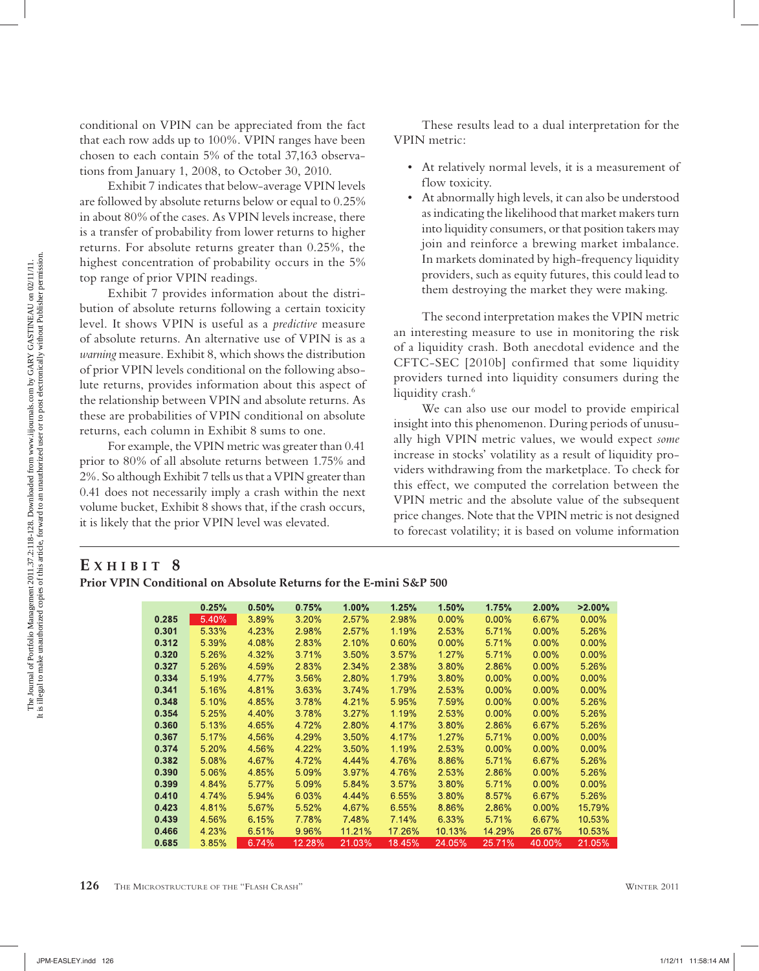conditional on VPIN can be appreciated from the fact that each row adds up to 100%. VPIN ranges have been chosen to each contain 5% of the total 37,163 observations from January 1, 2008, to October 30, 2010.

Exhibit 7 indicates that below-average VPIN levels are followed by absolute returns below or equal to 0.25% in about 80% of the cases. As VPIN levels increase, there is a transfer of probability from lower returns to higher returns. For absolute returns greater than 0.25%, the highest concentration of probability occurs in the 5% top range of prior VPIN readings.

Exhibit 7 provides information about the distribution of absolute returns following a certain toxicity level. It shows VPIN is useful as a *predictive* measure of absolute returns. An alternative use of VPIN is as a *warning* measure. Exhibit 8, which shows the distribution of prior VPIN levels conditional on the following absolute returns, provides information about this aspect of the relationship between VPIN and absolute returns. As these are probabilities of VPIN conditional on absolute returns, each column in Exhibit 8 sums to one.

For example, the VPIN metric was greater than 0.41 prior to 80% of all absolute returns between 1.75% and 2%. So although Exhibit 7 tells us that a VPIN greater than 0.41 does not necessarily imply a crash within the next volume bucket, Exhibit 8 shows that, if the crash occurs, it is likely that the prior VPIN level was elevated.

These results lead to a dual interpretation for the VPIN metric:

- At relatively normal levels, it is a measurement of flow toxicity.
- At abnormally high levels, it can also be understood as indicating the likelihood that market makers turn into liquidity consumers, or that position takers may join and reinforce a brewing market imbalance. In markets dominated by high-frequency liquidity providers, such as equity futures, this could lead to them destroying the market they were making.

The second interpretation makes the VPIN metric an interesting measure to use in monitoring the risk of a liquidity crash. Both anecdotal evidence and the CFTC-SEC [2010b] confirmed that some liquidity providers turned into liquidity consumers during the liquidity crash.<sup>6</sup>

We can also use our model to provide empirical insight into this phenomenon. During periods of unusually high VPIN metric values, we would expect *some* increase in stocks' volatility as a result of liquidity providers withdrawing from the marketplace. To check for this effect, we computed the correlation between the VPIN metric and the absolute value of the subsequent price changes. Note that the VPIN metric is not designed to forecast volatility; it is based on volume information

## **E XHIBIT 8**

|       | 0.25% | 0.50% | 0.75%  | 1.00%  | 1.25%  | 1.50%    | 1.75%    | 2.00%    | $>2.00\%$ |
|-------|-------|-------|--------|--------|--------|----------|----------|----------|-----------|
| 0.285 | 5.40% | 3.89% | 3.20%  | 2.57%  | 2.98%  | $0.00\%$ | 0.00%    | 6.67%    | $0.00\%$  |
| 0.301 | 5.33% | 4.23% | 2.98%  | 2.57%  | 1.19%  | 2.53%    | 5.71%    | $0.00\%$ | 5.26%     |
| 0.312 | 5.39% | 4.08% | 2.83%  | 2.10%  | 0.60%  | $0.00\%$ | 5.71%    | $0.00\%$ | $0.00\%$  |
| 0.320 | 5.26% | 4.32% | 3.71%  | 3.50%  | 3.57%  | 1.27%    | 5.71%    | $0.00\%$ | $0.00\%$  |
| 0.327 | 5.26% | 4.59% | 2.83%  | 2.34%  | 2,38%  | 3.80%    | 2.86%    | $0.00\%$ | 5.26%     |
| 0.334 | 5.19% | 4.77% | 3.56%  | 2.80%  | 1.79%  | 3.80%    | $0.00\%$ | $0.00\%$ | $0.00\%$  |
| 0.341 | 5.16% | 4.81% | 3.63%  | 3.74%  | 1.79%  | 2.53%    | $0.00\%$ | $0.00\%$ | $0.00\%$  |
| 0.348 | 5.10% | 4.85% | 3.78%  | 4.21%  | 5.95%  | 7.59%    | $0.00\%$ | $0.00\%$ | 5.26%     |
| 0.354 | 5.25% | 4.40% | 3.78%  | 3.27%  | 1.19%  | 2.53%    | 0.00%    | $0.00\%$ | 5.26%     |
| 0.360 | 5.13% | 4.65% | 4.72%  | 2.80%  | 4.17%  | 3.80%    | 2.86%    | 6.67%    | 5.26%     |
| 0.367 | 5.17% | 4.56% | 4.29%  | 3.50%  | 4.17%  | 1.27%    | 5.71%    | $0.00\%$ | $0.00\%$  |
| 0.374 | 5.20% | 4.56% | 4.22%  | 3.50%  | 1.19%  | 2.53%    | 0.00%    | $0.00\%$ | $0.00\%$  |
| 0.382 | 5.08% | 4.67% | 4.72%  | 4.44%  | 4.76%  | 8.86%    | 5.71%    | 6.67%    | 5.26%     |
| 0.390 | 5.06% | 4.85% | 5.09%  | 3.97%  | 4.76%  | 2.53%    | 2.86%    | 0.00%    | 5.26%     |
| 0.399 | 4.84% | 5.77% | 5.09%  | 5.84%  | 3.57%  | 3.80%    | 5.71%    | $0.00\%$ | $0.00\%$  |
| 0.410 | 4.74% | 5.94% | 6.03%  | 4.44%  | 6.55%  | 3.80%    | 8.57%    | 6.67%    | 5.26%     |
| 0.423 | 4.81% | 5.67% | 5.52%  | 4.67%  | 6.55%  | 8.86%    | 2.86%    | $0.00\%$ | 15.79%    |
| 0.439 | 4.56% | 6.15% | 7.78%  | 7.48%  | 7.14%  | 6.33%    | 5.71%    | 6.67%    | 10.53%    |
| 0.466 | 4.23% | 6.51% | 9.96%  | 11.21% | 17.26% | 10.13%   | 14.29%   | 26.67%   | 10.53%    |
| 0.685 | 3.85% | 6.74% | 12.28% | 21.03% | 18.45% | 24.05%   | 25.71%   | 40.00%   | 21.05%    |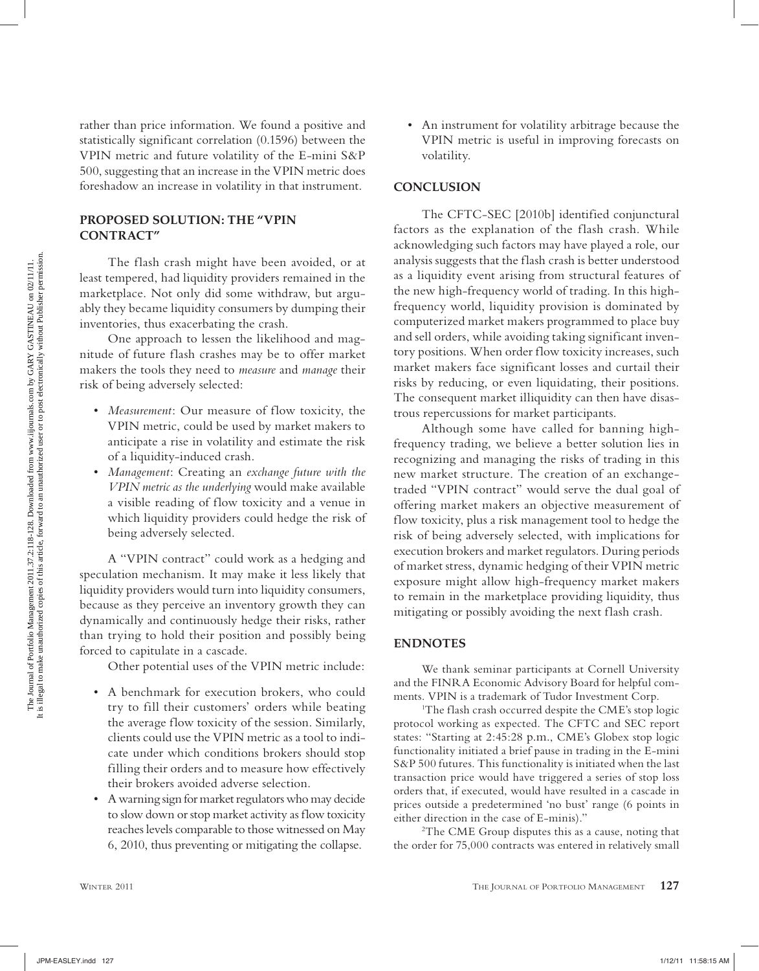rather than price information. We found a positive and statistically significant correlation (0.1596) between the VPIN metric and future volatility of the E-mini S&P 500, suggesting that an increase in the VPIN metric does foreshadow an increase in volatility in that instrument.

#### **PROPOSED SOLUTION: THE "VPIN CONTRACT"**

The flash crash might have been avoided, or at least tempered, had liquidity providers remained in the marketplace. Not only did some withdraw, but arguably they became liquidity consumers by dumping their inventories, thus exacerbating the crash.

One approach to lessen the likelihood and magnitude of future flash crashes may be to offer market makers the tools they need to *measure* and *manage* their risk of being adversely selected:

- *Measurement*: Our measure of flow toxicity, the VPIN metric, could be used by market makers to anticipate a rise in volatility and estimate the risk of a liquidity-induced crash.
- *Management*: Creating an *exchange future with the VPIN metric as the underlying* would make available a visible reading of flow toxicity and a venue in which liquidity providers could hedge the risk of being adversely selected.

A "VPIN contract" could work as a hedging and speculation mechanism. It may make it less likely that liquidity providers would turn into liquidity consumers, because as they perceive an inventory growth they can dynamically and continuously hedge their risks, rather than trying to hold their position and possibly being forced to capitulate in a cascade.

Other potential uses of the VPIN metric include:

- A benchmark for execution brokers, who could try to fill their customers' orders while beating the average flow toxicity of the session. Similarly, clients could use the VPIN metric as a tool to indicate under which conditions brokers should stop filling their orders and to measure how effectively their brokers avoided adverse selection.
- A warning sign for market regulators who may decide to slow down or stop market activity as flow toxicity reaches levels comparable to those witnessed on May 6, 2010, thus preventing or mitigating the collapse.

• An instrument for volatility arbitrage because the VPIN metric is useful in improving forecasts on volatility.

#### **CONCLUSION**

The CFTC-SEC [2010b] identified conjunctural factors as the explanation of the flash crash. While acknowledging such factors may have played a role, our analysis suggests that the flash crash is better understood as a liquidity event arising from structural features of the new high-frequency world of trading. In this highfrequency world, liquidity provision is dominated by computerized market makers programmed to place buy and sell orders, while avoiding taking significant inventory positions. When order flow toxicity increases, such market makers face significant losses and curtail their risks by reducing, or even liquidating, their positions. The consequent market illiquidity can then have disastrous repercussions for market participants.

Although some have called for banning highfrequency trading, we believe a better solution lies in recognizing and managing the risks of trading in this new market structure. The creation of an exchangetraded "VPIN contract" would serve the dual goal of offering market makers an objective measurement of flow toxicity, plus a risk management tool to hedge the risk of being adversely selected, with implications for execution brokers and market regulators. During periods of market stress, dynamic hedging of their VPIN metric exposure might allow high-frequency market makers to remain in the marketplace providing liquidity, thus mitigating or possibly avoiding the next flash crash.

#### **ENDNOTES**

We thank seminar participants at Cornell University and the FINRA Economic Advisory Board for helpful comments. VPIN is a trademark of Tudor Investment Corp.

<sup>1</sup>The flash crash occurred despite the CME's stop logic protocol working as expected. The CFTC and SEC report states: "Starting at 2:45:28 p.m., CME's Globex stop logic functionality initiated a brief pause in trading in the E-mini S&P 500 futures. This functionality is initiated when the last transaction price would have triggered a series of stop loss orders that, if executed, would have resulted in a cascade in prices outside a predetermined 'no bust' range (6 points in either direction in the case of E-minis).'

2 The CME Group disputes this as a cause, noting that the order for 75,000 contracts was entered in relatively small